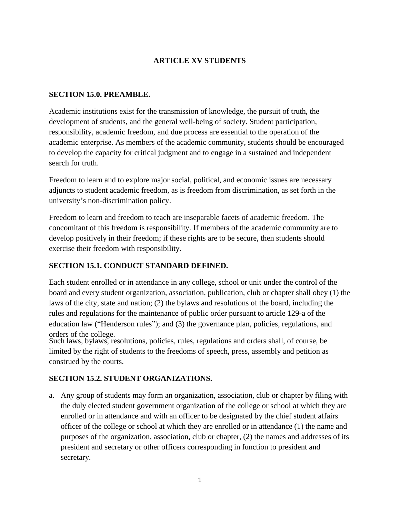# **ARTICLE XV STUDENTS**

### **SECTION 15.0. PREAMBLE.**

Academic institutions exist for the transmission of knowledge, the pursuit of truth, the development of students, and the general well-being of society. Student participation, responsibility, academic freedom, and due process are essential to the operation of the academic enterprise. As members of the academic community, students should be encouraged to develop the capacity for critical judgment and to engage in a sustained and independent search for truth.

Freedom to learn and to explore major social, political, and economic issues are necessary adjuncts to student academic freedom, as is freedom from discrimination, as set forth in the university's non-discrimination policy.

Freedom to learn and freedom to teach are inseparable facets of academic freedom. The concomitant of this freedom is responsibility. If members of the academic community are to develop positively in their freedom; if these rights are to be secure, then students should exercise their freedom with responsibility.

# **SECTION 15.1. CONDUCT STANDARD DEFINED.**

Each student enrolled or in attendance in any college, school or unit under the control of the board and every student organization, association, publication, club or chapter shall obey (1) the laws of the city, state and nation; (2) the bylaws and resolutions of the board, including the rules and regulations for the maintenance of public order pursuant to article 129-a of the education law ("Henderson rules"); and (3) the governance plan, policies, regulations, and orders of the college.

Such laws, bylaws, resolutions, policies, rules, regulations and orders shall, of course, be limited by the right of students to the freedoms of speech, press, assembly and petition as construed by the courts.

# **SECTION 15.2. STUDENT ORGANIZATIONS.**

a. Any group of students may form an organization, association, club or chapter by filing with the duly elected student government organization of the college or school at which they are enrolled or in attendance and with an officer to be designated by the chief student affairs officer of the college or school at which they are enrolled or in attendance (1) the name and purposes of the organization, association, club or chapter, (2) the names and addresses of its president and secretary or other officers corresponding in function to president and secretary.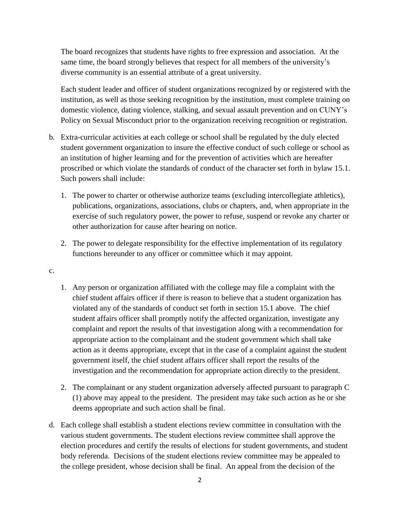The board recognizes that students have rights to free expression and association. At the same time, the board strongly believes that respect for all members of the university's diverse community is an essential attribute of a great university.

 institution, as well as those seeking recognition by the institution, must complete training on Each student leader and officer of student organizations recognized by or registered with the domestic violence, dating violence, stalking, and sexual assault prevention and on CUNY's Policy on Sexual Misconduct prior to the organization receiving recognition or registration.

- b. Extra-curricular activities at each college or school shall be regulated by the duly elected student government organization to insure the effective conduct of such college or school as an institution of higher learning and for the prevention of activities which are hereafter proscribed or which violate the standards of conduct of the character set forth in bylaw 15.1. Such powers shall include:
	- 1. The power to charter or otherwise authorize teams (excluding intercollegiate athletics), publications, organizations, associations, clubs or chapters, and, when appropriate in the exercise of such regulatory power, the power to refuse, suspend or revoke any charter or other authorization for cause after hearing on notice.
	- 2. The power to delegate responsibility for the effective implementation of its regulatory functions hereunder to any officer or committee which it may appoint.
- c.
- 1. Any person or organization affiliated with the college may file a complaint with the chief student affairs officer if there is reason to believe that a student organization has violated any of the standards of conduct set forth in section 15.1 above. The chief student affairs officer shall promptly notify the affected organization, investigate any complaint and report the results of that investigation along with a recommendation for appropriate action to the complainant and the student government which shall take action as it deems appropriate, except that in the case of a complaint against the student government itself, the chief student affairs officer shall report the results of the investigation and the recommendation for appropriate action directly to the president.
- 2. The complainant or any student organization adversely affected pursuant to paragraph C (1) above may appeal to the president. The president may take such action as he or she deems appropriate and such action shall be final.
- d. Each college shall establish a student elections review committee in consultation with the various student governments. The student elections review committee shall approve the election procedures and certify the results of elections for student governments, and student body referenda. Decisions of the student elections review committee may be appealed to the college president, whose decision shall be final. An appeal from the decision of the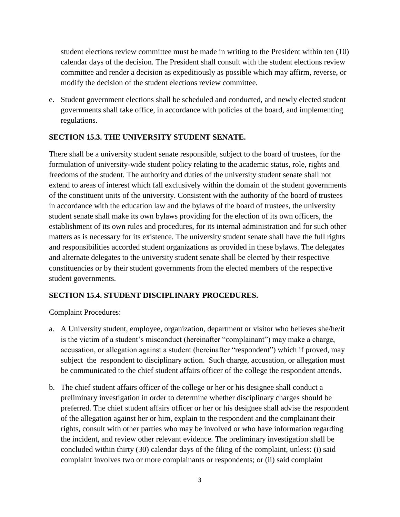student elections review committee must be made in writing to the President within ten (10) calendar days of the decision. The President shall consult with the student elections review committee and render a decision as expeditiously as possible which may affirm, reverse, or modify the decision of the student elections review committee.

e. Student government elections shall be scheduled and conducted, and newly elected student governments shall take office, in accordance with policies of the board, and implementing regulations.

### **SECTION 15.3. THE UNIVERSITY STUDENT SENATE.**

 There shall be a university student senate responsible, subject to the board of trustees, for the extend to areas of interest which fall exclusively within the domain of the student governments constituencies or by their student governments from the elected members of the respective formulation of university-wide student policy relating to the academic status, role, rights and freedoms of the student. The authority and duties of the university student senate shall not of the constituent units of the university. Consistent with the authority of the board of trustees in accordance with the education law and the bylaws of the board of trustees, the university student senate shall make its own bylaws providing for the election of its own officers, the establishment of its own rules and procedures, for its internal administration and for such other matters as is necessary for its existence. The university student senate shall have the full rights and responsibilities accorded student organizations as provided in these bylaws. The delegates and alternate delegates to the university student senate shall be elected by their respective student governments.

# **SECTION 15.4. STUDENT DISCIPLINARY PROCEDURES.**

Complaint Procedures:

- be communicated to the chief student affairs officer of the college the respondent attends. a. A University student, employee, organization, department or visitor who believes she/he/it is the victim of a student's misconduct (hereinafter "complainant") may make a charge, accusation, or allegation against a student (hereinafter "respondent") which if proved, may subject the respondent to disciplinary action. Such charge, accusation, or allegation must
- b. The chief student affairs officer of the college or her or his designee shall conduct a preferred. The chief student affairs officer or her or his designee shall advise the respondent the incident, and review other relevant evidence. The preliminary investigation shall be preliminary investigation in order to determine whether disciplinary charges should be of the allegation against her or him, explain to the respondent and the complainant their rights, consult with other parties who may be involved or who have information regarding concluded within thirty (30) calendar days of the filing of the complaint, unless: (i) said complaint involves two or more complainants or respondents; or (ii) said complaint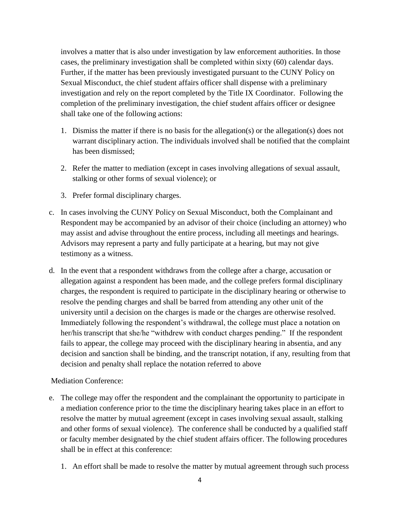involves a matter that is also under investigation by law enforcement authorities. In those cases, the preliminary investigation shall be completed within sixty (60) calendar days. Further, if the matter has been previously investigated pursuant to the CUNY Policy on Sexual Misconduct, the chief student affairs officer shall dispense with a preliminary investigation and rely on the report completed by the Title IX Coordinator. Following the completion of the preliminary investigation, the chief student affairs officer or designee shall take one of the following actions:

- 1. Dismiss the matter if there is no basis for the allegation(s) or the allegation(s) does not warrant disciplinary action. The individuals involved shall be notified that the complaint has been dismissed;
- 2. Refer the matter to mediation (except in cases involving allegations of sexual assault, stalking or other forms of sexual violence); or
- 3. Prefer formal disciplinary charges.
- Respondent may be accompanied by an advisor of their choice (including an attorney) who may assist and advise throughout the entire process, including all meetings and hearings. c. In cases involving the CUNY Policy on Sexual Misconduct, both the Complainant and Advisors may represent a party and fully participate at a hearing, but may not give testimony as a witness.
- charges, the respondent is required to participate in the disciplinary hearing or otherwise to university until a decision on the charges is made or the charges are otherwise resolved. her/his transcript that she/he "withdrew with conduct charges pending." If the respondent fails to appear, the college may proceed with the disciplinary hearing in absentia, and any decision and sanction shall be binding, and the transcript notation, if any, resulting from that decision and penalty shall replace the notation referred to above Mediation Conference: d. In the event that a respondent withdraws from the college after a charge, accusation or allegation against a respondent has been made, and the college prefers formal disciplinary resolve the pending charges and shall be barred from attending any other unit of the Immediately following the respondent's withdrawal, the college must place a notation on

- e. The college may offer the respondent and the complainant the opportunity to participate in a mediation conference prior to the time the disciplinary hearing takes place in an effort to resolve the matter by mutual agreement (except in cases involving sexual assault, stalking and other forms of sexual violence). The conference shall be conducted by a qualified staff or faculty member designated by the chief student affairs officer. The following procedures shall be in effect at this conference:
	- 1. An effort shall be made to resolve the matter by mutual agreement through such process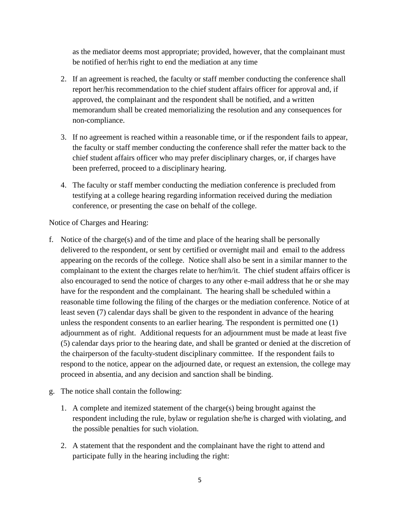as the mediator deems most appropriate; provided, however, that the complainant must be notified of her/his right to end the mediation at any time

- 2. If an agreement is reached, the faculty or staff member conducting the conference shall report her/his recommendation to the chief student affairs officer for approval and, if approved, the complainant and the respondent shall be notified, and a written memorandum shall be created memorializing the resolution and any consequences for non-compliance.
- 3. If no agreement is reached within a reasonable time, or if the respondent fails to appear, the faculty or staff member conducting the conference shall refer the matter back to the chief student affairs officer who may prefer disciplinary charges, or, if charges have been preferred, proceed to a disciplinary hearing.
- testifying at a college hearing regarding information received during the mediation 4. The faculty or staff member conducting the mediation conference is precluded from conference, or presenting the case on behalf of the college.

Notice of Charges and Hearing:

- delivered to the respondent, or sent by certified or overnight mail and email to the address complainant to the extent the charges relate to her/him/it. The chief student affairs officer is unless the respondent consents to an earlier hearing. The respondent is permitted one (1) adjournment as of right. Additional requests for an adjournment must be made at least five (5) calendar days prior to the hearing date, and shall be granted or denied at the discretion of the chairperson of the faculty-student disciplinary committee. If the respondent fails to respond to the notice, appear on the adjourned date, or request an extension, the college may proceed in absentia, and any decision and sanction shall be binding.<br>g. The notice shall contain the following: f. Notice of the charge(s) and of the time and place of the hearing shall be personally appearing on the records of the college. Notice shall also be sent in a similar manner to the also encouraged to send the notice of charges to any other e-mail address that he or she may have for the respondent and the complainant. The hearing shall be scheduled within a reasonable time following the filing of the charges or the mediation conference. Notice of at least seven (7) calendar days shall be given to the respondent in advance of the hearing
- - 1. A complete and itemized statement of the charge(s) being brought against the respondent including the rule, bylaw or regulation she/he is charged with violating, and the possible penalties for such violation.
	- 2. A statement that the respondent and the complainant have the right to attend and participate fully in the hearing including the right: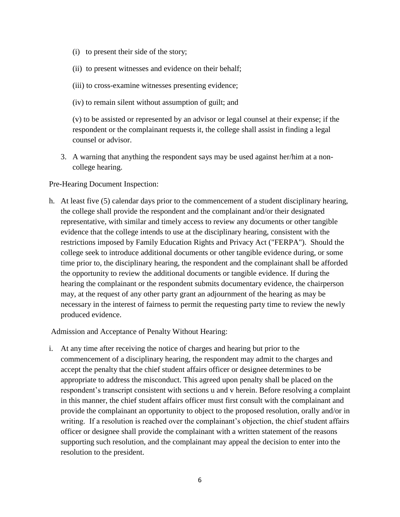- (i) to present their side of the story;
- (ii) to present witnesses and evidence on their behalf;
- (iii) to cross-examine witnesses presenting evidence;
- (iv) to remain silent without assumption of guilt; and

(v) to be assisted or represented by an advisor or legal counsel at their expense; if the respondent or the complainant requests it, the college shall assist in finding a legal counsel or advisor.

3. A warning that anything the respondent says may be used against her/him at a noncollege hearing.

Pre-Hearing Document Inspection:

 may, at the request of any other party grant an adjournment of the hearing as may be h. At least five (5) calendar days prior to the commencement of a student disciplinary hearing, the college shall provide the respondent and the complainant and/or their designated representative, with similar and timely access to review any documents or other tangible evidence that the college intends to use at the disciplinary hearing, consistent with the restrictions imposed by Family Education Rights and Privacy Act ("FERPA"). Should the college seek to introduce additional documents or other tangible evidence during, or some time prior to, the disciplinary hearing, the respondent and the complainant shall be afforded the opportunity to review the additional documents or tangible evidence. If during the hearing the complainant or the respondent submits documentary evidence, the chairperson necessary in the interest of fairness to permit the requesting party time to review the newly produced evidence.

Admission and Acceptance of Penalty Without Hearing:

 appropriate to address the misconduct. This agreed upon penalty shall be placed on the respondent's transcript consistent with sections u and v herein. Before resolving a complaint i. At any time after receiving the notice of charges and hearing but prior to the commencement of a disciplinary hearing, the respondent may admit to the charges and accept the penalty that the chief student affairs officer or designee determines to be in this manner, the chief student affairs officer must first consult with the complainant and provide the complainant an opportunity to object to the proposed resolution, orally and/or in writing. If a resolution is reached over the complainant's objection, the chief student affairs officer or designee shall provide the complainant with a written statement of the reasons supporting such resolution, and the complainant may appeal the decision to enter into the resolution to the president.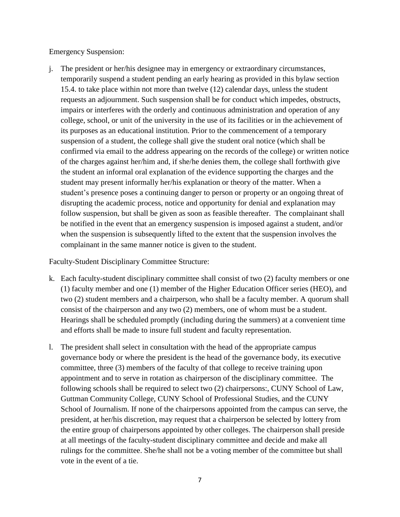**Emergency Suspension:** 

 15.4. to take place within not more than twelve (12) calendar days, unless the student complainant in the same manner notice is given to the student. i. The president or her/his designee may in emergency or extraordinary circumstances, temporarily suspend a student pending an early hearing as provided in this bylaw section requests an adjournment. Such suspension shall be for conduct which impedes, obstructs, impairs or interferes with the orderly and continuous administration and operation of any college, school, or unit of the university in the use of its facilities or in the achievement of its purposes as an educational institution. Prior to the commencement of a temporary suspension of a student, the college shall give the student oral notice (which shall be confirmed via email to the address appearing on the records of the college) or written notice of the charges against her/him and, if she/he denies them, the college shall forthwith give the student an informal oral explanation of the evidence supporting the charges and the student may present informally her/his explanation or theory of the matter. When a student's presence poses a continuing danger to person or property or an ongoing threat of disrupting the academic process, notice and opportunity for denial and explanation may follow suspension, but shall be given as soon as feasible thereafter. The complainant shall be notified in the event that an emergency suspension is imposed against a student, and/or when the suspension is subsequently lifted to the extent that the suspension involves the

Faculty-Student Disciplinary Committee Structure:

- k. Each faculty-student disciplinary committee shall consist of two (2) faculty members or one (1) faculty member and one (1) member of the Higher Education Officer series (HEO), and two (2) student members and a chairperson, who shall be a faculty member. A quorum shall consist of the chairperson and any two (2) members, one of whom must be a student. Hearings shall be scheduled promptly (including during the summers) at a convenient time and efforts shall be made to insure full student and faculty representation.
- committee, three (3) members of the faculty of that college to receive training upon following schools shall be required to select two (2) chairpersons:, CUNY School of Law, at all meetings of the faculty-student disciplinary committee and decide and make all l. The president shall select in consultation with the head of the appropriate campus governance body or where the president is the head of the governance body, its executive appointment and to serve in rotation as chairperson of the disciplinary committee. The Guttman Community College, CUNY School of Professional Studies, and the CUNY School of Journalism. If none of the chairpersons appointed from the campus can serve, the president, at her/his discretion, may request that a chairperson be selected by lottery from the entire group of chairpersons appointed by other colleges. The chairperson shall preside rulings for the committee. She/he shall not be a voting member of the committee but shall vote in the event of a tie.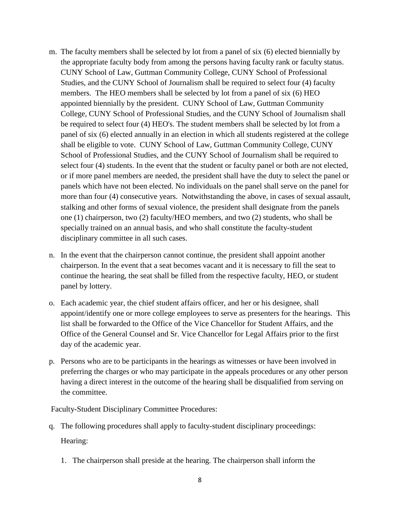- panel of six (6) elected annually in an election in which all students registered at the college more than four (4) consecutive years. Notwithstanding the above, in cases of sexual assault, m. The faculty members shall be selected by lot from a panel of six (6) elected biennially by the appropriate faculty body from among the persons having faculty rank or faculty status. CUNY School of Law, Guttman Community College, CUNY School of Professional Studies, and the CUNY School of Journalism shall be required to select four (4) faculty members. The HEO members shall be selected by lot from a panel of six (6) HEO appointed biennially by the president. CUNY School of Law, Guttman Community College, CUNY School of Professional Studies, and the CUNY School of Journalism shall be required to select four (4) HEO's. The student members shall be selected by lot from a shall be eligible to vote. CUNY School of Law, Guttman Community College, CUNY School of Professional Studies, and the CUNY School of Journalism shall be required to select four (4) students. In the event that the student or faculty panel or both are not elected, or if more panel members are needed, the president shall have the duty to select the panel or panels which have not been elected. No individuals on the panel shall serve on the panel for stalking and other forms of sexual violence, the president shall designate from the panels one (1) chairperson, two (2) faculty/HEO members, and two (2) students, who shall be specially trained on an annual basis, and who shall constitute the faculty-student disciplinary committee in all such cases.
- n. In the event that the chairperson cannot continue, the president shall appoint another chairperson. In the event that a seat becomes vacant and it is necessary to fill the seat to continue the hearing, the seat shall be filled from the respective faculty, HEO, or student panel by lottery.
- o. Each academic year, the chief student affairs officer, and her or his designee, shall day of the academic year. appoint/identify one or more college employees to serve as presenters for the hearings. This list shall be forwarded to the Office of the Vice Chancellor for Student Affairs, and the Office of the General Counsel and Sr. Vice Chancellor for Legal Affairs prior to the first
- p. Persons who are to be participants in the hearings as witnesses or have been involved in preferring the charges or who may participate in the appeals procedures or any other person having a direct interest in the outcome of the hearing shall be disqualified from serving on the committee.

Faculty-Student Disciplinary Committee Procedures:

- q. The following procedures shall apply to faculty-student disciplinary proceedings: Hearing:
	- 1. The chairperson shall preside at the hearing. The chairperson shall inform the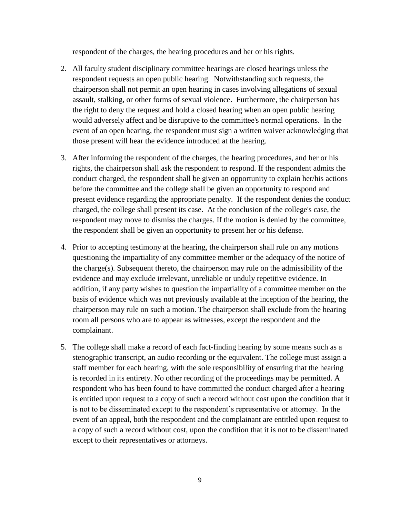respondent of the charges, the hearing procedures and her or his rights.

- 2. All faculty student disciplinary committee hearings are closed hearings unless the respondent requests an open public hearing. Notwithstanding such requests, the would adversely affect and be disruptive to the committee's normal operations. In the chairperson shall not permit an open hearing in cases involving allegations of sexual assault, stalking, or other forms of sexual violence. Furthermore, the chairperson has the right to deny the request and hold a closed hearing when an open public hearing event of an open hearing, the respondent must sign a written waiver acknowledging that those present will hear the evidence introduced at the hearing.
- rights, the chairperson shall ask the respondent to respond. If the respondent admits the present evidence regarding the appropriate penalty. If the respondent denies the conduct the respondent shall be given an opportunity to present her or his defense. 3. After informing the respondent of the charges, the hearing procedures, and her or his conduct charged, the respondent shall be given an opportunity to explain her/his actions before the committee and the college shall be given an opportunity to respond and charged, the college shall present its case. At the conclusion of the college's case, the respondent may move to dismiss the charges. If the motion is denied by the committee,
- the charge(s). Subsequent thereto, the chairperson may rule on the admissibility of the room all persons who are to appear as witnesses, except the respondent and the complainant. 4. Prior to accepting testimony at the hearing, the chairperson shall rule on any motions questioning the impartiality of any committee member or the adequacy of the notice of evidence and may exclude irrelevant, unreliable or unduly repetitive evidence. In addition, if any party wishes to question the impartiality of a committee member on the basis of evidence which was not previously available at the inception of the hearing, the chairperson may rule on such a motion. The chairperson shall exclude from the hearing
- stenographic transcript, an audio recording or the equivalent. The college must assign a event of an appeal, both the respondent and the complainant are entitled upon request to 5. The college shall make a record of each fact-finding hearing by some means such as a staff member for each hearing, with the sole responsibility of ensuring that the hearing is recorded in its entirety. No other recording of the proceedings may be permitted. A respondent who has been found to have committed the conduct charged after a hearing is entitled upon request to a copy of such a record without cost upon the condition that it is not to be disseminated except to the respondent's representative or attorney. In the a copy of such a record without cost, upon the condition that it is not to be disseminated except to their representatives or attorneys.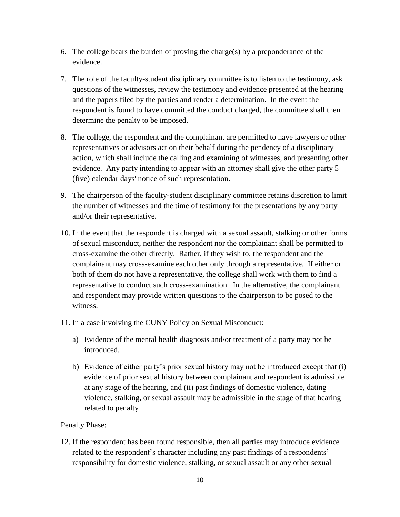- 6. The college bears the burden of proving the charge(s) by a preponderance of the evidence.
- 7. The role of the faculty-student disciplinary committee is to listen to the testimony, ask questions of the witnesses, review the testimony and evidence presented at the hearing and the papers filed by the parties and render a determination. In the event the respondent is found to have committed the conduct charged, the committee shall then determine the penalty to be imposed.
- (five) calendar days' notice of such representation. 8. The college, the respondent and the complainant are permitted to have lawyers or other representatives or advisors act on their behalf during the pendency of a disciplinary action, which shall include the calling and examining of witnesses, and presenting other evidence. Any party intending to appear with an attorney shall give the other party 5
- the number of witnesses and the time of testimony for the presentations by any party 9. The chairperson of the faculty-student disciplinary committee retains discretion to limit and/or their representative.
- 10. In the event that the respondent is charged with a sexual assault, stalking or other forms of sexual misconduct, neither the respondent nor the complainant shall be permitted to cross-examine the other directly. Rather, if they wish to, the respondent and the complainant may cross-examine each other only through a representative. If either or both of them do not have a representative, the college shall work with them to find a representative to conduct such cross-examination. In the alternative, the complainant and respondent may provide written questions to the chairperson to be posed to the witness.
- 11. In a case involving the CUNY Policy on Sexual Misconduct:
	- introduced. a) Evidence of the mental health diagnosis and/or treatment of a party may not be
	- related to penalty b) Evidence of either party's prior sexual history may not be introduced except that (i) evidence of prior sexual history between complainant and respondent is admissible at any stage of the hearing, and (ii) past findings of domestic violence, dating violence, stalking, or sexual assault may be admissible in the stage of that hearing

### Penalty Phase:

 12. If the respondent has been found responsible, then all parties may introduce evidence related to the respondent's character including any past findings of a respondents' responsibility for domestic violence, stalking, or sexual assault or any other sexual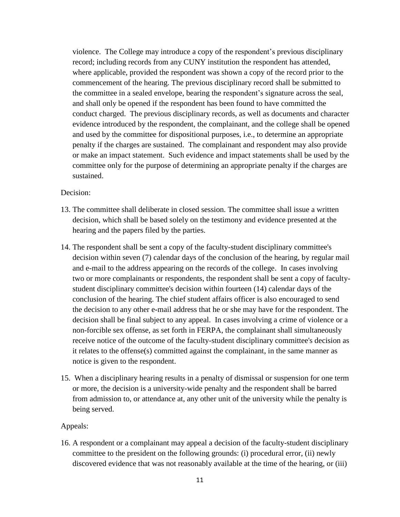violence. The College may introduce a copy of the respondent's previous disciplinary and shall only be opened if the respondent has been found to have committed the penalty if the charges are sustained. The complainant and respondent may also provide or make an impact statement. Such evidence and impact statements shall be used by the record; including records from any CUNY institution the respondent has attended, where applicable, provided the respondent was shown a copy of the record prior to the commencement of the hearing. The previous disciplinary record shall be submitted to the committee in a sealed envelope, bearing the respondent's signature across the seal, conduct charged. The previous disciplinary records, as well as documents and character evidence introduced by the respondent, the complainant, and the college shall be opened and used by the committee for dispositional purposes, i.e., to determine an appropriate committee only for the purpose of determining an appropriate penalty if the charges are sustained.

### Decision:

- decision, which shall be based solely on the testimony and evidence presented at the 13. The committee shall deliberate in closed session. The committee shall issue a written hearing and the papers filed by the parties.
- 14. The respondent shall be sent a copy of the faculty-student disciplinary committee's decision within seven (7) calendar days of the conclusion of the hearing, by regular mail and e-mail to the address appearing on the records of the college. In cases involving the decision to any other e-mail address that he or she may have for the respondent. The two or more complainants or respondents, the respondent shall be sent a copy of facultystudent disciplinary committee's decision within fourteen (14) calendar days of the conclusion of the hearing. The chief student affairs officer is also encouraged to send decision shall be final subject to any appeal. In cases involving a crime of violence or a non-forcible sex offense, as set forth in FERPA, the complainant shall simultaneously receive notice of the outcome of the faculty-student disciplinary committee's decision as it relates to the offense(s) committed against the complainant, in the same manner as notice is given to the respondent.
- or more, the decision is a university-wide penalty and the respondent shall be barred 15. When a disciplinary hearing results in a penalty of dismissal or suspension for one term from admission to, or attendance at, any other unit of the university while the penalty is being served.

### Appeals:

 committee to the president on the following grounds: (i) procedural error, (ii) newly 16. A respondent or a complainant may appeal a decision of the faculty-student disciplinary discovered evidence that was not reasonably available at the time of the hearing, or (iii)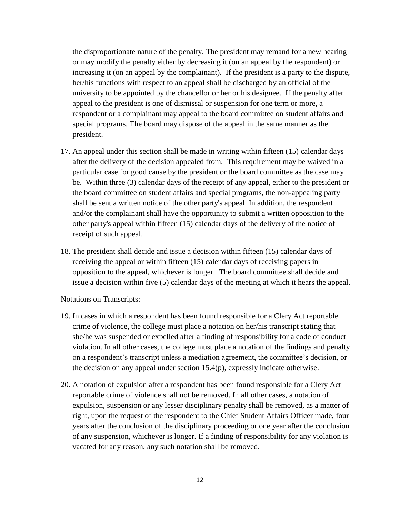the disproportionate nature of the penalty. The president may remand for a new hearing or may modify the penalty either by decreasing it (on an appeal by the respondent) or appeal to the president is one of dismissal or suspension for one term or more, a increasing it (on an appeal by the complainant). If the president is a party to the dispute, her/his functions with respect to an appeal shall be discharged by an official of the university to be appointed by the chancellor or her or his designee. If the penalty after respondent or a complainant may appeal to the board committee on student affairs and special programs. The board may dispose of the appeal in the same manner as the president.

- after the delivery of the decision appealed from. This requirement may be waived in a particular case for good cause by the president or the board committee as the case may shall be sent a written notice of the other party's appeal. In addition, the respondent 17. An appeal under this section shall be made in writing within fifteen (15) calendar days be. Within three (3) calendar days of the receipt of any appeal, either to the president or the board committee on student affairs and special programs, the non-appealing party and/or the complainant shall have the opportunity to submit a written opposition to the other party's appeal within fifteen (15) calendar days of the delivery of the notice of receipt of such appeal.
- 18. The president shall decide and issue a decision within fifteen (15) calendar days of issue a decision within five (5) calendar days of the meeting at which it hears the appeal. receiving the appeal or within fifteen (15) calendar days of receiving papers in opposition to the appeal, whichever is longer. The board committee shall decide and

Notations on Transcripts:

- violation. In all other cases, the college must place a notation of the findings and penalty 19. In cases in which a respondent has been found responsible for a Clery Act reportable crime of violence, the college must place a notation on her/his transcript stating that she/he was suspended or expelled after a finding of responsibility for a code of conduct on a respondent's transcript unless a mediation agreement, the committee's decision, or the decision on any appeal under section 15.4(p), expressly indicate otherwise.
- 20. A notation of expulsion after a respondent has been found responsible for a Clery Act reportable crime of violence shall not be removed. In all other cases, a notation of expulsion, suspension or any lesser disciplinary penalty shall be removed, as a matter of right, upon the request of the respondent to the Chief Student Affairs Officer made, four of any suspension, whichever is longer. If a finding of responsibility for any violation is years after the conclusion of the disciplinary proceeding or one year after the conclusion vacated for any reason, any such notation shall be removed.